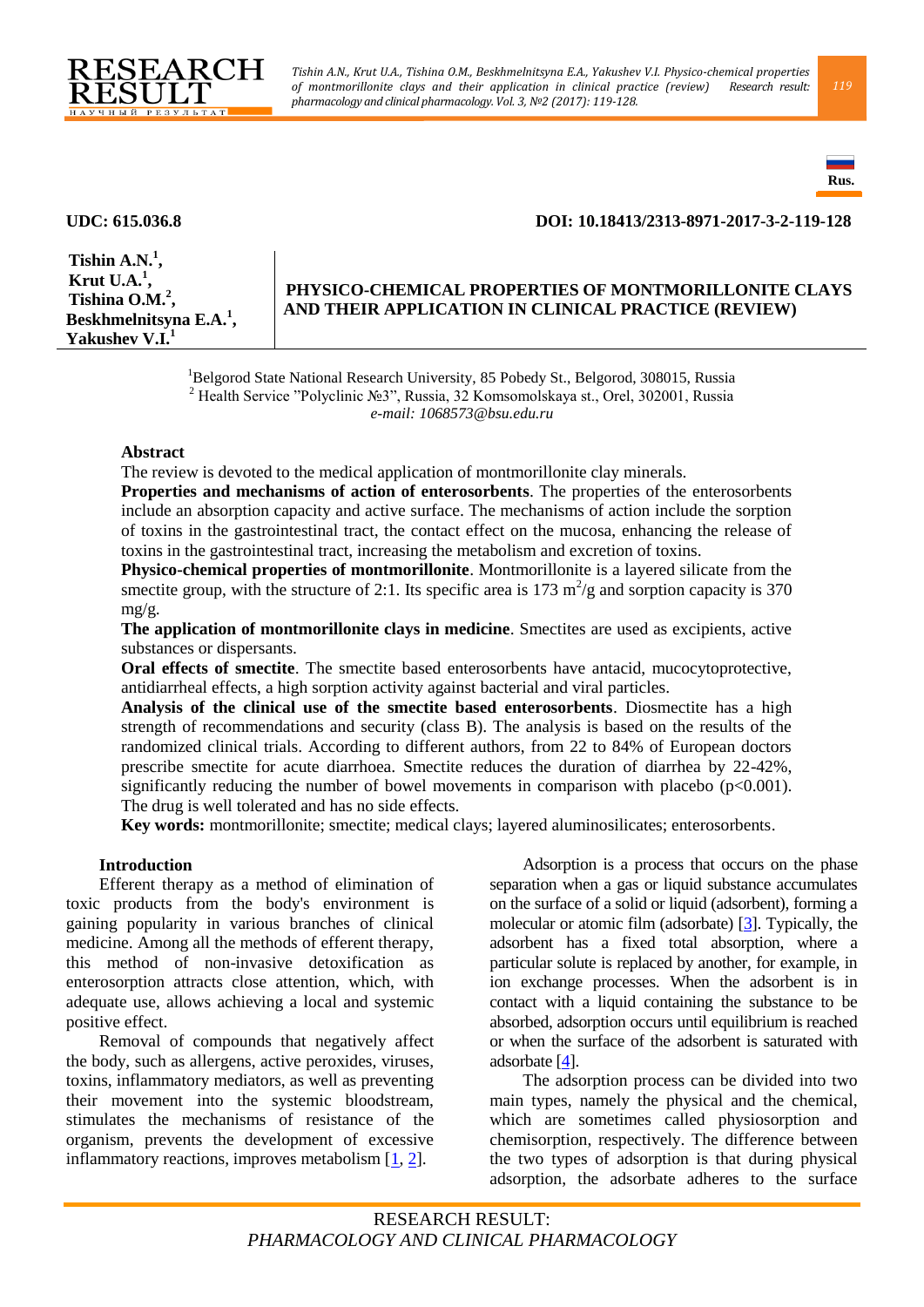



# **UDC: 615.036.8 DOI: 10.18413/2313-8971-2017-3-2-119-128**

**Tishin A.N.<sup>1</sup> , Krut U.A.<sup>1</sup> , Tishina O.M.<sup>2</sup> , Beskhmelnitsyna E.A.<sup>1</sup> , Yakushev V.I.<sup>1</sup>**

# **PHYSICO-CHEMICAL PROPERTIES OF MONTMORILLONITE CLAYS AND THEIR APPLICATION IN CLINICAL PRACTICE (REVIEW)**

<sup>1</sup>Belgorod State National Research University, 85 Pobedy St., Belgorod, 308015, Russia <sup>2</sup> Health Service "Polyclinic №3", Russia, 32 Komsomolskaya st., Orel, 302001, Russia *e-mail: 1068573@bsu.edu.ru* 

#### **Abstract**

The review is devoted to the medical application of montmorillonite clay minerals.

**Properties and mechanisms of action of enterosorbents**. The properties of the enterosorbents include an absorption capacity and active surface. The mechanisms of action include the sorption of toxins in the gastrointestinal tract, the contact effect on the mucosa, enhancing the release of toxins in the gastrointestinal tract, increasing the metabolism and excretion of toxins.

**Physico-chemical properties of montmorillonite**. Montmorillonite is a layered silicate from the smectite group, with the structure of 2:1. Its specific area is 173  $\mathrm{m}^2/\mathrm{g}$  and sorption capacity is 370  $m\Omega/\Omega$ .

**The application of montmorillonite clays in medicine**. Smectites are used as excipients, active substances or dispersants.

**Oral effects of smectite**. The smectite based enterosorbents have antacid, mucocytoprotective, antidiarrheal effects, a high sorption activity against bacterial and viral particles.

**Analysis of the clinical use of the smectite based enterosorbents**. Diosmectite has a high strength of recommendations and security (class B). The analysis is based on the results of the randomized clinical trials. According to different authors, from 22 to 84% of European doctors prescribe smectite for acute diarrhoea. Smectite reduces the duration of diarrhea by 22-42%, significantly reducing the number of bowel movements in comparison with placebo ( $p<0.001$ ). The drug is well tolerated and has no side effects.

**Key words:** montmorillonite; smectite; medical clays; layered aluminosilicates; enterosorbents.

### **Introduction**

Efferent therapy as a method of elimination of toxic products from the body's environment is gaining popularity in various branches of clinical medicine. Among all the methods of efferent therapy, this method of non-invasive detoxification as enterosorption attracts close attention, which, with adequate use, allows achieving a local and systemic positive effect.

Removal of compounds that negatively affect the body, such as allergens, active peroxides, viruses, toxins, inflammatory mediators, as well as preventing their movement into the systemic bloodstream, stimulates the mechanisms of resistance of the organism, prevents the development of excessive inflammatory reactions, improves metabolism [\[1,](#page-5-0) [2\]](#page-5-1).

Adsorption is a process that occurs on the phase separation when a gas or liquid substance accumulates on the surface of a solid or liquid (adsorbent), forming a molecular or atomic film (adsorbate) [\[3\]](#page-5-2). Typically, the adsorbent has a fixed total absorption, where a particular solute is replaced by another, for example, in ion exchange processes. When the adsorbent is in contact with a liquid containing the substance to be absorbed, adsorption occurs until equilibrium is reached or when the surface of the adsorbent is saturated with adsorbate [\[4\]](#page-5-3).

The adsorption process can be divided into two main types, namely the physical and the chemical, which are sometimes called physiosorption and chemisorption, respectively. The difference between the two types of adsorption is that during physical adsorption, the adsorbate adheres to the surface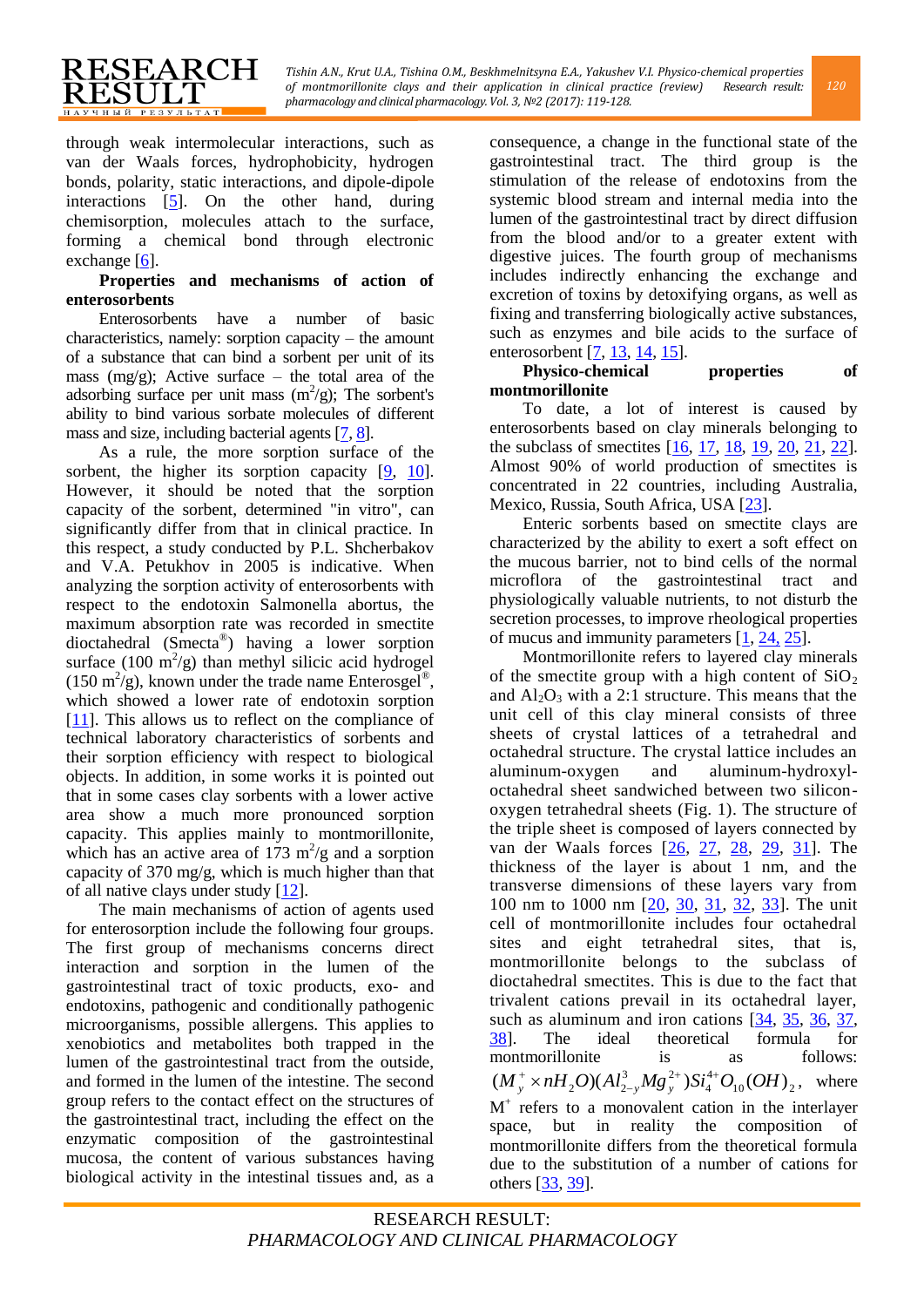through weak intermolecular interactions, such as van der Waals forces, hydrophobicity, hydrogen bonds, polarity, static interactions, and dipole-dipole interactions [\[5\]](#page-5-4). On the other hand, during chemisorption, molecules attach to the surface, forming a chemical bond through electronic exchange [\[6\]](#page-5-5).

RESEARCH

ESULT **НАУЧНЫЙ РЕЗУЛЬТАТ** 

### **Properties and mechanisms of action of enterosorbents**

Enterosorbents have a number of basic characteristics, namely: sorption capacity – the amount of a substance that can bind a sorbent per unit of its mass (mg/g); Active surface – the total area of the adsorbing surface per unit mass  $(m^2/g)$ ; The sorbent's ability to bind various sorbate molecules of different mass and size, including bacterial agents [\[7,](#page-5-6) [8\]](#page-5-7).

As a rule, the more sorption surface of the sorbent, the higher its sorption capacity [\[9,](#page-5-8) [10\]](#page-5-9). However, it should be noted that the sorption capacity of the sorbent, determined "in vitro", can significantly differ from that in clinical practice. In this respect, a study conducted by P.L. Shcherbakov and V.A. Petukhov in 2005 is indicative. When analyzing the sorption activity of enterosorbents with respect to the endotoxin Salmonella abortus, the maximum absorption rate was recorded in smectite dioctahedral (Smecta® ) having a lower sorption surface  $(100 \text{ m}^2/\text{g})$  than methyl silicic acid hydrogel  $(150 \text{ m}^2/\text{g})$ , known under the trade name Enterosgel<sup>®</sup>, which showed a lower rate of endotoxin sorption [\[11\]](#page-5-10). This allows us to reflect on the compliance of technical laboratory characteristics of sorbents and their sorption efficiency with respect to biological objects. In addition, in some works it is pointed out that in some cases clay sorbents with a lower active area show a much more pronounced sorption capacity. This applies mainly to montmorillonite, which has an active area of  $173 \text{ m}^2\text{/g}$  and a sorption capacity of 370 mg/g, which is much higher than that of all native clays under study  $[12]$ .

The main mechanisms of action of agents used for enterosorption include the following four groups. The first group of mechanisms concerns direct interaction and sorption in the lumen of the gastrointestinal tract of toxic products, exo- and endotoxins, pathogenic and conditionally pathogenic microorganisms, possible allergens. This applies to xenobiotics and metabolites both trapped in the lumen of the gastrointestinal tract from the outside, and formed in the lumen of the intestine. The second group refers to the contact effect on the structures of the gastrointestinal tract, including the effect on the enzymatic composition of the gastrointestinal mucosa, the content of various substances having biological activity in the intestinal tissues and, as a consequence, a change in the functional state of the gastrointestinal tract. The third group is the stimulation of the release of endotoxins from the systemic blood stream and internal media into the lumen of the gastrointestinal tract by direct diffusion from the blood and/or to a greater extent with digestive juices. The fourth group of mechanisms includes indirectly enhancing the exchange and excretion of toxins by detoxifying organs, as well as fixing and transferring biologically active substances, such as enzymes and bile acids to the surface of enterosorbent [\[7,](#page-5-6) [13,](#page-5-12) [14,](#page-5-13) [15\]](#page-5-14).

### **Physico-chemical properties of montmorillonite**

To date, a lot of interest is caused by enterosorbents based on clay minerals belonging to the subclass of smectites [\[16,](#page-6-0) [17,](#page-6-1) [18,](#page-6-2) [19,](#page-6-3) [20,](#page-6-4) [21,](#page-6-5) [22\]](#page-6-6). Almost 90% of world production of smectites is concentrated in 22 countries, including Australia, Mexico, Russia, South Africa, USA [\[23\]](#page-6-7).

Enteric sorbents based on smectite clays are characterized by the ability to exert a soft effect on the mucous barrier, not to bind cells of the normal microflora of the gastrointestinal tract and physiologically valuable nutrients, to not disturb the secretion processes, to improve rheological properties of mucus and immunity parameters [\[1,](#page-5-0) [24,](#page-6-8) [25\]](#page-6-9).

Montmorillonite refers to layered clay minerals of the smectite group with a high content of  $SiO<sub>2</sub>$ and  $Al_2O_3$  with a 2:1 structure. This means that the unit cell of this clay mineral consists of three sheets of crystal lattices of a tetrahedral and octahedral structure. The crystal lattice includes an aluminum-oxygen and aluminum-hydroxyloctahedral sheet sandwiched between two siliconoxygen tetrahedral sheets (Fig. 1). The structure of the triple sheet is composed of layers connected by van der Waals forces [\[26,](#page-6-10) [27,](#page-6-11) [28,](#page-6-12) [29,](#page-6-13) [31\]](#page-6-14). The thickness of the layer is about 1 nm, and the transverse dimensions of these layers vary from 100 nm to 1000 nm [\[20,](#page-6-4) [30,](#page-6-15) [31,](#page-6-14) [32,](#page-6-16) [33\]](#page-6-17). The unit cell of montmorillonite includes four octahedral sites and eight tetrahedral sites, that is, montmorillonite belongs to the subclass of dioctahedral smectites. This is due to the fact that trivalent cations prevail in its octahedral layer, such as aluminum and iron cations  $[34, 35, 36, 37,$  $[34, 35, 36, 37,$  $[34, 35, 36, 37,$  $[34, 35, 36, 37,$ [38\]](#page-6-22). The ideal theoretical formula for montmorillonite is as follows:  $_{10}$ (*OII*)<sub>2</sub> 4 4  $3M_{\odot}$ <sup>2</sup>  $(M_y^+ \times nH_2O)(Al_{2-y}^3Mg_y^{2+})Si_4^{4+}O_{10}(OH)$  $+ \sqrt{C}$ :4+  $v_v^+ \times nH_2O(A l_{2-v}^3 M g_v^{2+})St_4^{4+}O_{10}(OH)_2$ , where M + refers to a monovalent cation in the interlayer space, but in reality the composition of montmorillonite differs from the theoretical formula due to the substitution of a number of cations for others [\[33,](#page-6-17) [39\]](#page-6-23).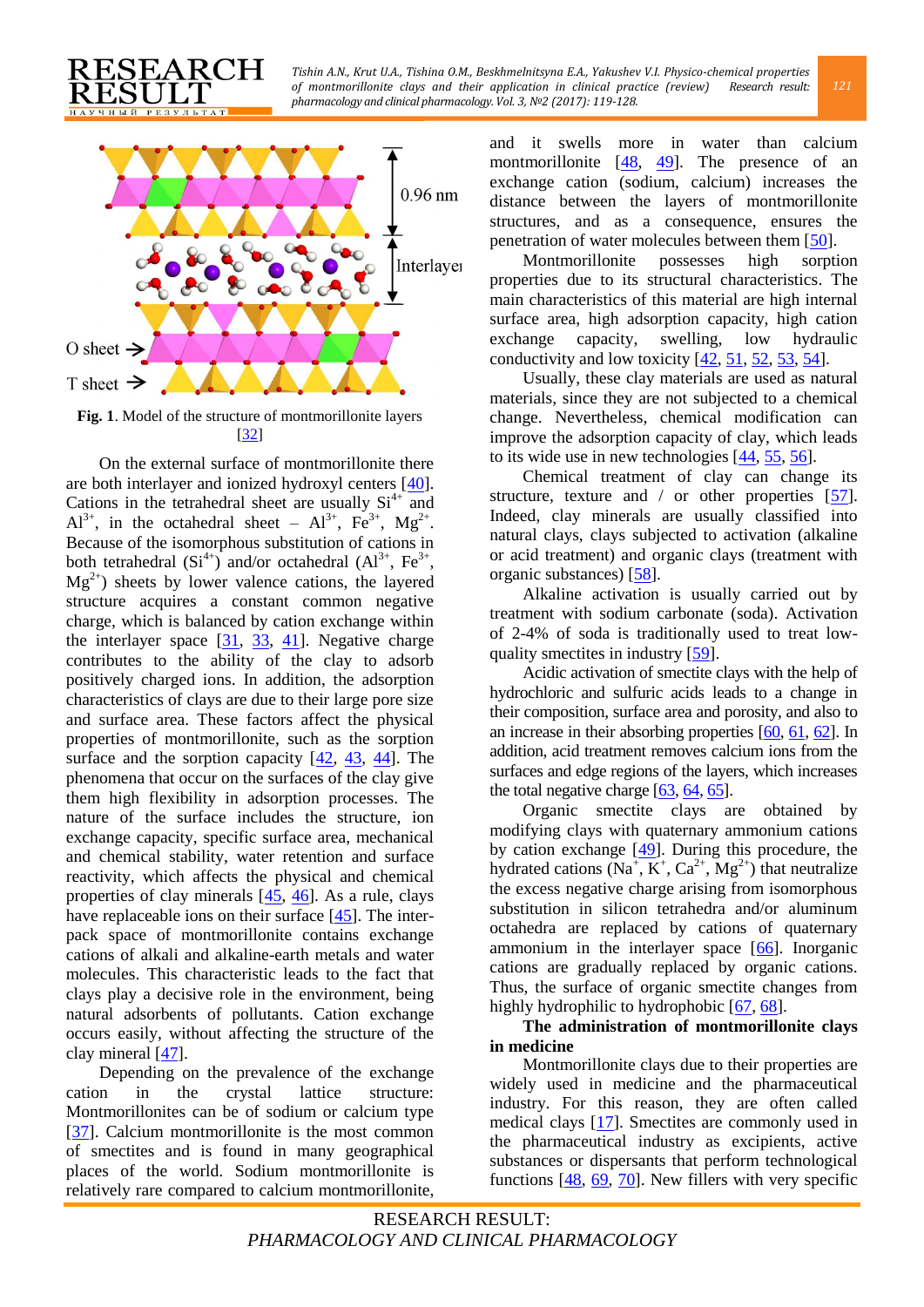

EARCH

учный резул

On the external surface of montmorillonite there are both interlayer and ionized hydroxyl centers [\[40\]](#page-6-24). Cations in the tetrahedral sheet are usually  $Si<sup>4+</sup>$  and  $Al^{3+}$ , in the octahedral sheet –  $Al^{3+}$ ,  $Fe^{3+}$ ,  $Mg^{2+}$ . Because of the isomorphous substitution of cations in both tetrahedral  $(Si^{4+})$  and/or octahedral  $(Ai^{3+}, Fe^{3+})$ ,  $Mg^{2+}$ ) sheets by lower valence cations, the layered structure acquires a constant common negative charge, which is balanced by cation exchange within the interlayer space  $[31, 33, 41]$  $[31, 33, 41]$  $[31, 33, 41]$  $[31, 33, 41]$  $[31, 33, 41]$ . Negative charge contributes to the ability of the clay to adsorb positively charged ions. In addition, the adsorption characteristics of clays are due to their large pore size and surface area. These factors affect the physical properties of montmorillonite, such as the sorption surface and the sorption capacity  $[42, 43, 44]$  $[42, 43, 44]$  $[42, 43, 44]$ . The phenomena that occur on the surfaces of the clay give them high flexibility in adsorption processes. The nature of the surface includes the structure, ion exchange capacity, specific surface area, mechanical and chemical stability, water retention and surface reactivity, which affects the physical and chemical properties of clay minerals [\[45,](#page-7-2) [46\]](#page-7-3). As a rule, clays have replaceable ions on their surface  $[45]$ . The interpack space of montmorillonite contains exchange cations of alkali and alkaline-earth metals and water molecules. This characteristic leads to the fact that clays play a decisive role in the environment, being natural adsorbents of pollutants. Cation exchange occurs easily, without affecting the structure of the clay mineral [\[47\]](#page-7-4).

Depending on the prevalence of the exchange cation in the crystal lattice structure: Montmorillonites can be of sodium or calcium type [\[37\]](#page-6-21). Calcium montmorillonite is the most common of smectites and is found in many geographical places of the world. Sodium montmorillonite is relatively rare compared to calcium montmorillonite,

and it swells more in water than calcium montmorillonite  $[48, 49]$  $[48, 49]$  $[48, 49]$ . The presence of an exchange cation (sodium, calcium) increases the distance between the layers of montmorillonite structures, and as a consequence, ensures the penetration of water molecules between them [\[50\]](#page-7-7).

Montmorillonite possesses high sorption properties due to its structural characteristics. The main characteristics of this material are high internal surface area, high adsorption capacity, high cation exchange capacity, swelling, low hydraulic conductivity and low toxicity  $[42, 51, 52, 53, 54]$  $[42, 51, 52, 53, 54]$  $[42, 51, 52, 53, 54]$  $[42, 51, 52, 53, 54]$  $[42, 51, 52, 53, 54]$ .

Usually, these clay materials are used as natural materials, since they are not subjected to a chemical change. Nevertheless, chemical modification can improve the adsorption capacity of clay, which leads to its wide use in new technologies [\[44,](#page-7-1) [55,](#page-7-12) [56\]](#page-7-13).

Chemical treatment of clay can change its structure, texture and  $\ell$  or other properties [\[57\]](#page-7-14). Indeed, clay minerals are usually classified into natural clays, clays subjected to activation (alkaline or acid treatment) and organic clays (treatment with organic substances) [\[58\]](#page-7-15).

Alkaline activation is usually carried out by treatment with sodium carbonate (soda). Activation of 2-4% of soda is traditionally used to treat lowquality smectites in industry [\[59\]](#page-7-16).

Acidic activation of smectite clays with the help of hydrochloric and sulfuric acids leads to a change in their composition, surface area and porosity, and also to an increase in their absorbing properties [\[60,](#page-7-17) [61,](#page-7-18) [62\]](#page-7-19). In addition, acid treatment removes calcium ions from the surfaces and edge regions of the layers, which increases the total negative charge [\[63,](#page-7-20) [64,](#page-7-21) [65\]](#page-7-22).

Organic smectite clays are obtained by modifying clays with quaternary ammonium cations by cation exchange [\[49\]](#page-7-6). During this procedure, the hydrated cations  $(Na^{\dagger}, K^{\dagger}, Ca^{2+}, Mg^{2+})$  that neutralize the excess negative charge arising from isomorphous substitution in silicon tetrahedra and/or aluminum octahedra are replaced by cations of quaternary ammonium in the interlayer space [\[66\]](#page-7-23). Inorganic cations are gradually replaced by organic cations. Thus, the surface of organic smectite changes from highly hydrophilic to hydrophobic [\[67,](#page-7-24) [68\]](#page-7-25).

# **The administration of montmorillonite clays in medicine**

Montmorillonite clays due to their properties are widely used in medicine and the pharmaceutical industry. For this reason, they are often called medical clays [\[17\]](#page-6-1). Smectites are commonly used in the pharmaceutical industry as excipients, active substances or dispersants that perform technological functions [\[48,](#page-7-5) [69,](#page-7-26) [70\]](#page-8-0). New fillers with very specific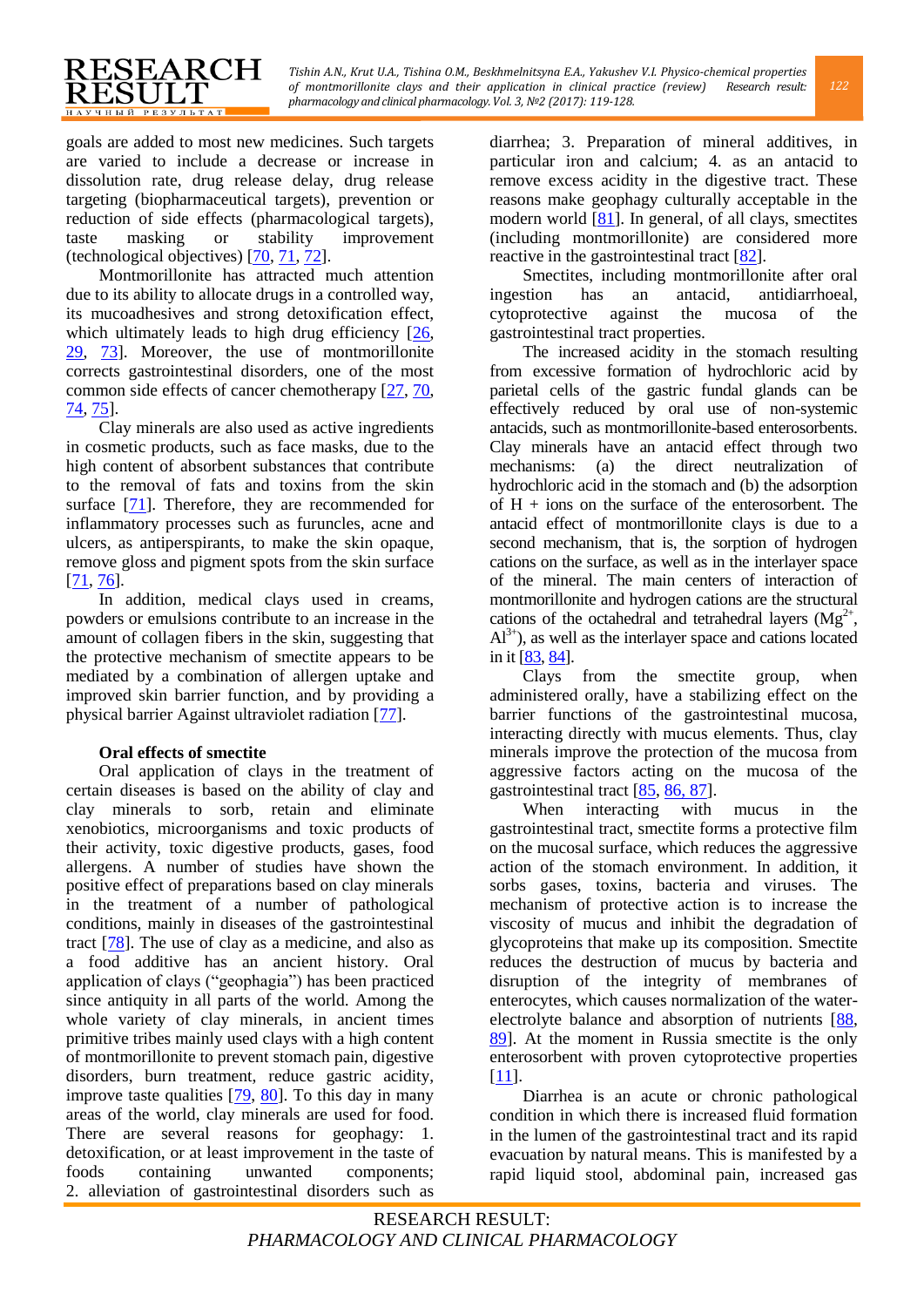goals are added to most new medicines. Such targets are varied to include a decrease or increase in dissolution rate, drug release delay, drug release targeting (biopharmaceutical targets), prevention or reduction of side effects (pharmacological targets), taste masking or stability improvement (technological objectives) [\[70,](#page-8-0) [71,](#page-8-1) [72\]](#page-8-2).

RESEARCH

**RESULT** НАУЧНЫЙ РЕЗУЛЬТАТ

Montmorillonite has attracted much attention due to its ability to allocate drugs in a controlled way, its mucoadhesives and strong detoxification effect, which ultimately leads to high drug efficiency [\[26,](#page-6-10) [29,](#page-6-13) [73\]](#page-8-3). Moreover, the use of montmorillonite corrects gastrointestinal disorders, one of the most common side effects of cancer chemotherapy  $[27, 70, 70]$  $[27, 70, 70]$  $[27, 70, 70]$ [74,](#page-8-4) [75\]](#page-8-5).

Clay minerals are also used as active ingredients in cosmetic products, such as face masks, due to the high content of absorbent substances that contribute to the removal of fats and toxins from the skin surface [\[71\]](#page-8-1). Therefore, they are recommended for inflammatory processes such as furuncles, acne and ulcers, as antiperspirants, to make the skin opaque, remove gloss and pigment spots from the skin surface  $[71, 76]$  $[71, 76]$ .

In addition, medical clays used in creams, powders or emulsions contribute to an increase in the amount of collagen fibers in the skin, suggesting that the protective mechanism of smectite appears to be mediated by a combination of allergen uptake and improved skin barrier function, and by providing a physical barrier Against ultraviolet radiation [\[77\]](#page-8-7).

# **Oral effects of smectite**

Oral application of clays in the treatment of certain diseases is based on the ability of clay and clay minerals to sorb, retain and eliminate xenobiotics, microorganisms and toxic products of their activity, toxic digestive products, gases, food allergens. A number of studies have shown the positive effect of preparations based on clay minerals in the treatment of a number of pathological conditions, mainly in diseases of the gastrointestinal tract [\[78\]](#page-8-8). The use of clay as a medicine, and also as a food additive has an ancient history. Oral application of clays ("geophagia") has been practiced since antiquity in all parts of the world. Among the whole variety of clay minerals, in ancient times primitive tribes mainly used clays with a high content of montmorillonite to prevent stomach pain, digestive disorders, burn treatment, reduce gastric acidity, improve taste qualities  $[79, 80]$  $[79, 80]$ . To this day in many areas of the world, clay minerals are used for food. There are several reasons for geophagy: 1. detoxification, or at least improvement in the taste of foods containing unwanted components; 2. alleviation of gastrointestinal disorders such as

diarrhea; 3. Preparation of mineral additives, in particular iron and calcium; 4. as an antacid to remove excess acidity in the digestive tract. These reasons make geophagy culturally acceptable in the modern world [\[81\]](#page-8-11). In general, of all clays, smectites (including montmorillonite) are considered more reactive in the gastrointestinal tract [\[82\]](#page-8-12).

Smectites, including montmorillonite after oral ingestion has an antacid, antidiarrhoeal, cytoprotective against the mucosa of the gastrointestinal tract properties.

The increased acidity in the stomach resulting from excessive formation of hydrochloric acid by parietal cells of the gastric fundal glands can be effectively reduced by oral use of non-systemic antacids, such as montmorillonite-based enterosorbents. Clay minerals have an antacid effect through two mechanisms: (a) the direct neutralization of hydrochloric acid in the stomach and (b) the adsorption of  $H + \text{ions}$  on the surface of the enterosorbent. The antacid effect of montmorillonite clays is due to a second mechanism, that is, the sorption of hydrogen cations on the surface, as well as in the interlayer space of the mineral. The main centers of interaction of montmorillonite and hydrogen cations are the structural cations of the octahedral and tetrahedral layers  $(Mg^{2+})$ ,  $Al^{3+}$ ), as well as the interlayer space and cations located in it [\[83,](#page-8-13) [84\]](#page-8-14).

Clays from the smectite group, when administered orally, have a stabilizing effect on the barrier functions of the gastrointestinal mucosa, interacting directly with mucus elements. Thus, clay minerals improve the protection of the mucosa from aggressive factors acting on the mucosa of the gastrointestinal tract [\[85,](#page-8-15) [86,](#page-8-16) [87\]](#page-8-17).

When interacting with mucus in the gastrointestinal tract, smectite forms a protective film on the mucosal surface, which reduces the aggressive action of the stomach environment. In addition, it sorbs gases, toxins, bacteria and viruses. The mechanism of protective action is to increase the viscosity of mucus and inhibit the degradation of glycoproteins that make up its composition. Smectite reduces the destruction of mucus by bacteria and disruption of the integrity of membranes of enterocytes, which causes normalization of the waterelectrolyte balance and absorption of nutrients [\[88,](#page-8-18) [89\]](#page-8-19). At the moment in Russia smectite is the only enterosorbent with proven cytoprotective properties [\[11\]](#page-5-10).

Diarrhea is an acute or chronic pathological condition in which there is increased fluid formation in the lumen of the gastrointestinal tract and its rapid evacuation by natural means. This is manifested by a rapid liquid stool, abdominal pain, increased gas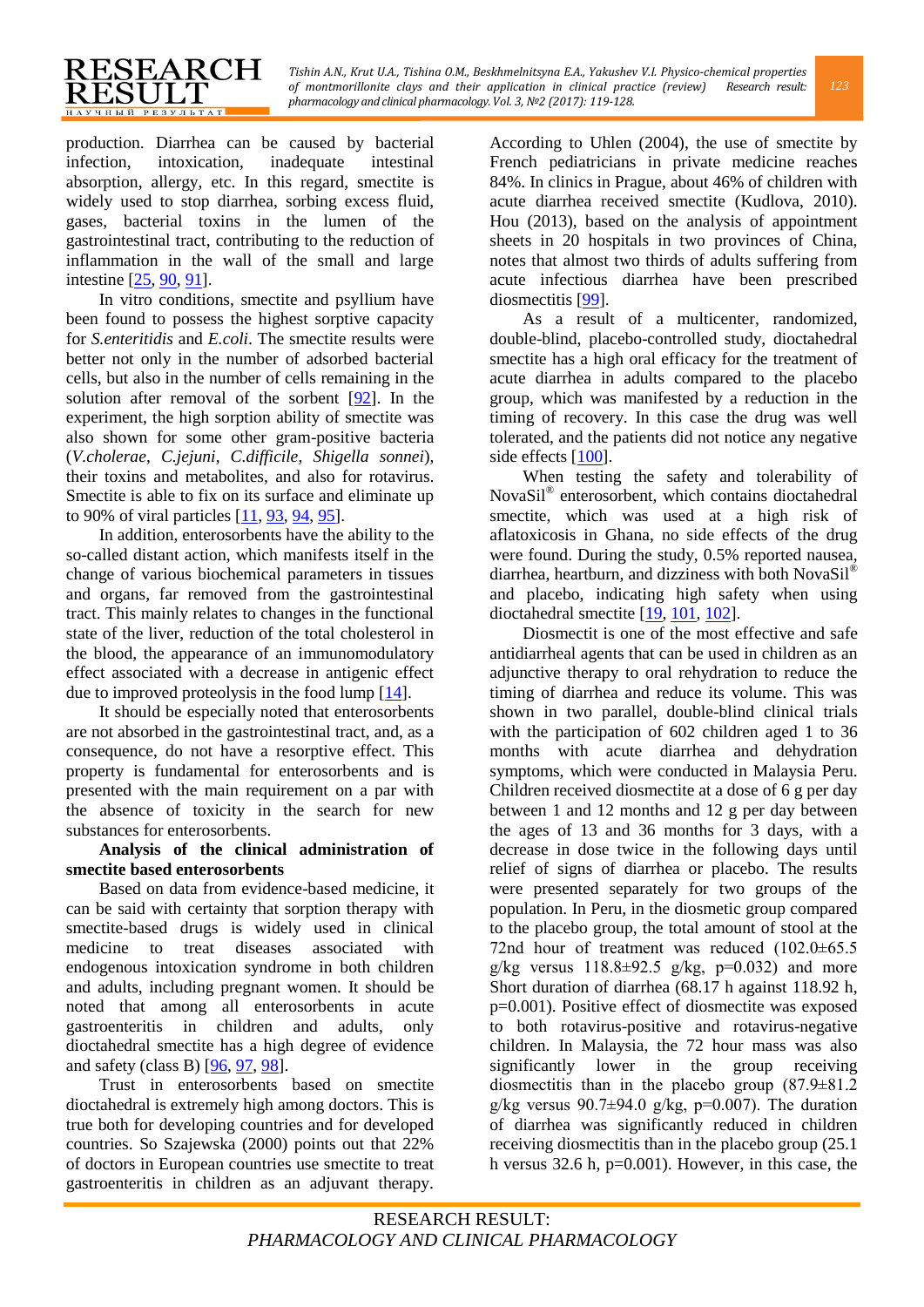production. Diarrhea can be caused by bacterial infection, intoxication, inadequate intestinal absorption, allergy, etc. In this regard, smectite is widely used to stop diarrhea, sorbing excess fluid, gases, bacterial toxins in the lumen of the gastrointestinal tract, contributing to the reduction of inflammation in the wall of the small and large intestine [\[25,](#page-6-9) [90,](#page-8-20) [91\]](#page-8-21).

RESEARCH

**ESULT НАУЧНЫЙ РЕЗУЛЬТАТ** 

In vitro conditions, smectite and psyllium have been found to possess the highest sorptive capacity for *S.enteritidis* and *E.coli*. The smectite results were better not only in the number of adsorbed bacterial cells, but also in the number of cells remaining in the solution after removal of the sorbent  $[92]$ . In the experiment, the high sorption ability of smectite was also shown for some other gram-positive bacteria (*V.cholerae*, *C.jejuni*, *C.difficile*, *Shigella sonnei*), their toxins and metabolites, and also for rotavirus. Smectite is able to fix on its surface and eliminate up to 90% of viral particles [\[11,](#page-5-10) [93,](#page-8-23) [94,](#page-8-24) [95\]](#page-8-25).

In addition, enterosorbents have the ability to the so-called distant action, which manifests itself in the change of various biochemical parameters in tissues and organs, far removed from the gastrointestinal tract. This mainly relates to changes in the functional state of the liver, reduction of the total cholesterol in the blood, the appearance of an immunomodulatory effect associated with a decrease in antigenic effect due to improved proteolysis in the food lump [\[14\]](#page-5-13).

It should be especially noted that enterosorbents are not absorbed in the gastrointestinal tract, and, as a consequence, do not have a resorptive effect. This property is fundamental for enterosorbents and is presented with the main requirement on a par with the absence of toxicity in the search for new substances for enterosorbents.

# **Analysis of the clinical administration of smectite based enterosorbents**

Based on data from evidence-based medicine, it can be said with certainty that sorption therapy with smectite-based drugs is widely used in clinical medicine to treat diseases associated with endogenous intoxication syndrome in both children and adults, including pregnant women. It should be noted that among all enterosorbents in acute gastroenteritis in children and adults, only dioctahedral smectite has a high degree of evidence and safety (class B) [\[96,](#page-8-26) [97,](#page-8-27) [98\]](#page-8-28).

Trust in enterosorbents based on smectite dioctahedral is extremely high among doctors. This is true both for developing countries and for developed countries. So Szajewska (2000) points out that 22% of doctors in European countries use smectite to treat gastroenteritis in children as an adjuvant therapy.

According to Uhlen (2004), the use of smectite by French pediatricians in private medicine reaches 84%. In clinics in Prague, about 46% of children with acute diarrhea received smectite (Kudlova, 2010). Hou (2013), based on the analysis of appointment sheets in 20 hospitals in two provinces of China, notes that almost two thirds of adults suffering from acute infectious diarrhea have been prescribed diosmectitis [\[99\]](#page-8-29).

As a result of a multicenter, randomized, double-blind, placebo-controlled study, dioctahedral smectite has a high oral efficacy for the treatment of acute diarrhea in adults compared to the placebo group, which was manifested by a reduction in the timing of recovery. In this case the drug was well tolerated, and the patients did not notice any negative side effects [\[100\]](#page-9-0).

When testing the safety and tolerability of NovaSil® enterosorbent, which contains dioctahedral smectite, which was used at a high risk of aflatoxicosis in Ghana, no side effects of the drug were found. During the study, 0.5% reported nausea, diarrhea, heartburn, and dizziness with both Nova $\text{Si}^{1}$ <sup>®</sup> and placebo, indicating high safety when using dioctahedral smectite [\[19,](#page-6-3) [101,](#page-9-1) [102\]](#page-9-2).

Diosmectit is one of the most effective and safe antidiarrheal agents that can be used in children as an adjunctive therapy to oral rehydration to reduce the timing of diarrhea and reduce its volume. This was shown in two parallel, double-blind clinical trials with the participation of 602 children aged 1 to 36 months with acute diarrhea and dehydration symptoms, which were conducted in Malaysia Peru. Children received diosmectite at a dose of 6 g per day between 1 and 12 months and 12 g per day between the ages of 13 and 36 months for 3 days, with a decrease in dose twice in the following days until relief of signs of diarrhea or placebo. The results were presented separately for two groups of the population. In Peru, in the diosmetic group compared to the placebo group, the total amount of stool at the 72nd hour of treatment was reduced (102.0±65.5 g/kg versus  $118.8 \pm 92.5$  g/kg,  $p=0.032$ ) and more Short duration of diarrhea (68.17 h against 118.92 h, p=0.001). Positive effect of diosmectite was exposed to both rotavirus-positive and rotavirus-negative children. In Malaysia, the 72 hour mass was also significantly lower in the group receiving diosmectitis than in the placebo group (87.9±81.2 g/kg versus  $90.7\pm94.0$  g/kg, p=0.007). The duration of diarrhea was significantly reduced in children receiving diosmectitis than in the placebo group (25.1 h versus  $32.6$  h,  $p=0.001$ ). However, in this case, the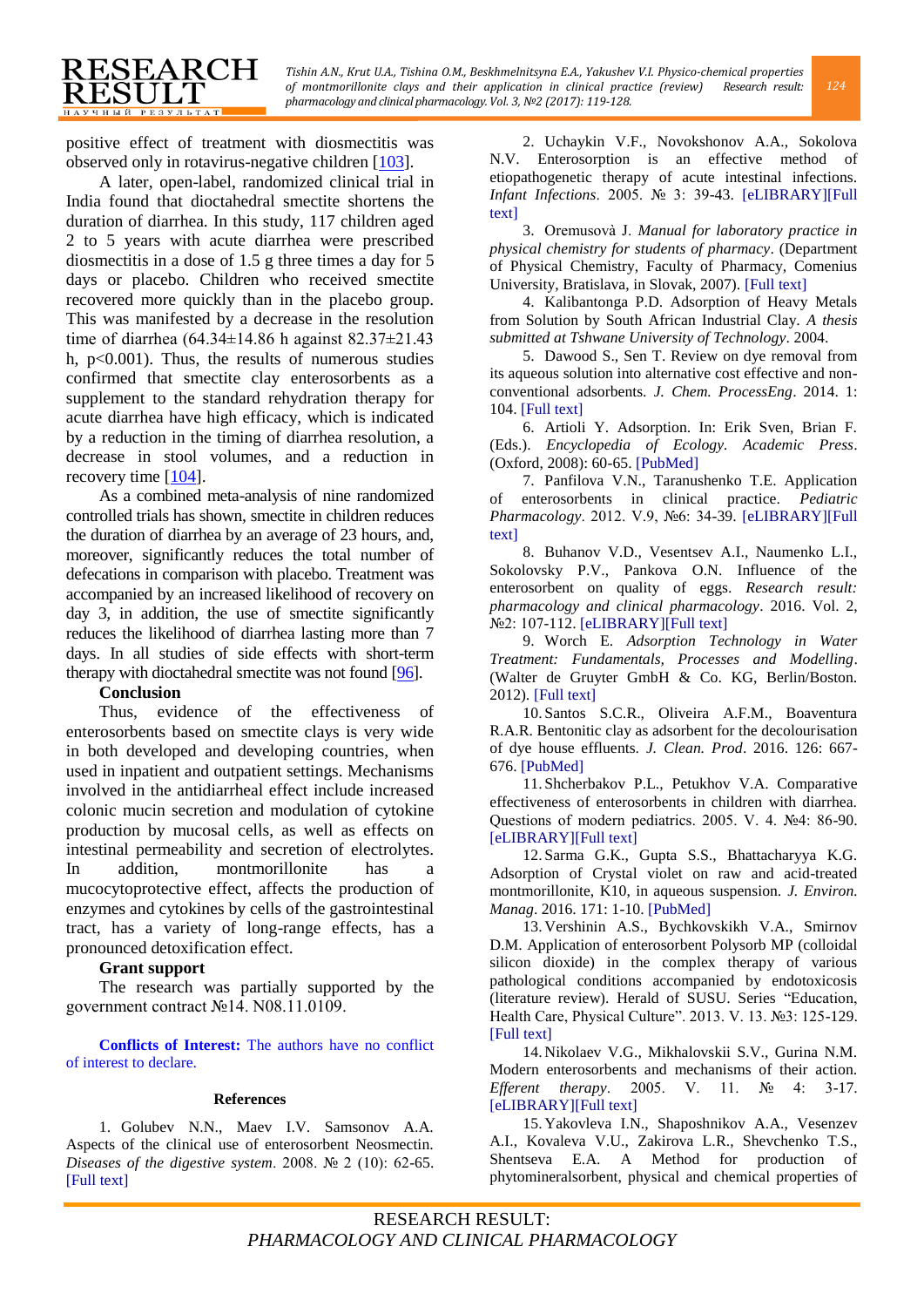positive effect of treatment with diosmectitis was observed only in rotavirus-negative children [\[103\]](#page-9-3).

RESEARCH

ESULT **НАУЧНЫЙ РЕЗУЛЬТАТ** 

A later, open-label, randomized clinical trial in India found that dioctahedral smectite shortens the duration of diarrhea. In this study, 117 children aged 2 to 5 years with acute diarrhea were prescribed diosmectitis in a dose of 1.5 g three times a day for 5 days or placebo. Children who received smectite recovered more quickly than in the placebo group. This was manifested by a decrease in the resolution time of diarrhea (64.34±14.86 h against 82.37±21.43 h,  $p<0.001$ ). Thus, the results of numerous studies confirmed that smectite clay enterosorbents as a supplement to the standard rehydration therapy for acute diarrhea have high efficacy, which is indicated by a reduction in the timing of diarrhea resolution, a decrease in stool volumes, and a reduction in recovery time [\[104\]](#page-9-4).

As a combined meta-analysis of nine randomized controlled trials has shown, smectite in children reduces the duration of diarrhea by an average of 23 hours, and, moreover, significantly reduces the total number of defecations in comparison with placebo. Treatment was accompanied by an increased likelihood of recovery on day 3, in addition, the use of smectite significantly reduces the likelihood of diarrhea lasting more than 7 days. In all studies of side effects with short-term therapy with dioctahedral smectite was not found [\[96\]](#page-8-26).

#### **Conclusion**

Thus, evidence of the effectiveness of enterosorbents based on smectite clays is very wide in both developed and developing countries, when used in inpatient and outpatient settings. Mechanisms involved in the antidiarrheal effect include increased colonic mucin secretion and modulation of cytokine production by mucosal cells, as well as effects on intestinal permeability and secretion of electrolytes. In addition, montmorillonite has a mucocytoprotective effect, affects the production of enzymes and cytokines by cells of the gastrointestinal tract, has a variety of long-range effects, has a pronounced detoxification effect.

#### **[Grant support](https://www.ncbi.nlm.nih.gov/pubmed/28410596)**

The research was partially supported by the government contract №14. N08.11.0109.

**Conflicts of Interest:** The authors have no conflict of interest to declare.

#### **References**

<span id="page-5-0"></span>1. Golubev N.N., Maev I.V. Samsonov A.A. Aspects of the clinical use of enterosorbent Neosmectin. *Diseases of the digestive system*. 2008. № 2 (10): 62-65. [\[Full text\]](http://www.rmj.ru/articles/bolezni_organov_pishchevareniya/Aspekty_klinicheskogo_primeneniya__enterosorbenta_Neosmektin/)

<span id="page-5-1"></span>2. Uchaykin V.F., Novokshonov A.A., Sokolova N.V. Enterosorption is an effective method of etiopathogenetic therapy of acute intestinal infections. *Infant Infections*. 2005. № 3: 39-43. [\[eLIBRARY\]\[Full](http://elibrary.ru/item.asp?id=9120250)  [text\]](http://elibrary.ru/download/elibrary_9120250_18102090.pdf)

<span id="page-5-2"></span>3. Oremusovà J. *Manual for laboratory practice in physical chemistry for students of pharmacy*. (Department of Physical Chemistry, Faculty of Pharmacy, Comenius University, Bratislava, in Slovak, 2007). [\[Full text\]](http://www.uobabylon.edu.iq/eprints/publication_1_14313_250.pdf)

<span id="page-5-3"></span>4. Kalibantonga P.D. Adsorption of Heavy Metals from Solution by South African Industrial Clay. *A thesis submitted at Tshwane University of Technology*. 2004.

<span id="page-5-4"></span>5. Dawood S., Sen T. Review on dye removal from its aqueous solution into alternative cost effective and nonconventional adsorbents. *J. Chem. ProcessEng*. 2014. 1: 104[. \[Full text\]](http://www.jscholaronline.org/full-text/JCPE/105/Review-on-Dye-Removal-from-Its-Aqueous-Solution-into-Alternative-Cost-Effective-and-Non-Conventional-Adsorbents.php)

<span id="page-5-5"></span>6. Artioli Y. Adsorption. In: Erik Sven, Brian F. (Eds.). *Encyclopedia of Ecology. Academic Press*. (Oxford, 2008): 60-65. [\[PubMed\]](https://academic.oup.com/aob/article-lookup/doi/10.1093/aob/mcp308)

<span id="page-5-6"></span>7. Panfilova V.N., Taranushenko T.E. Application of enterosorbents in clinical practice. *Pediatric Pharmacology*. 2012. V.9, №6: 34-39. [\[eLIBRARY\]\[Full](http://elibrary.ru/item.asp?id=18411137)  [text\]](http://elibrary.ru/download/elibrary_18411137_81096322.pdf)

<span id="page-5-7"></span>8. Buhanov V.D., Vesentsev A.I., Naumenko L.I., Sokolovsky P.V., Pankova O.N. Influence of the enterosorbent on quality of eggs. *Research result: pharmacology and clinical pharmacology*. 2016. Vol. 2, №2: 107-112. [\[eLIBRARY\]\[Full text\]](http://elibrary.ru/item.asp?id=26673135)

<span id="page-5-8"></span>9. Worch E. *Adsorption Technology in Water Treatment: Fundamentals, Processes and Modelling*. (Walter de Gruyter GmbH & Co. KG, Berlin/Boston. 2012). [\[Full text\]](http://197.14.51.10:81/pmb/CHIMIE/Traitement/Adsorption%20Technology%20in%20Water%20Treatment.pdf)

<span id="page-5-9"></span>10. Santos S.C.R., Oliveira A.F.M., Boaventura R.A.R. Bentonitic clay as adsorbent for the decolourisation of dye house effluents. *J. Clean. Prod*. 2016. 126: 667- 676[. \[PubMed\]](https://www.researchgate.net/publication/301277044_Bentonitic_clay_as_adsorbent_for_the_decolourisation_of_dyehouse_effluents)

<span id="page-5-10"></span>11. Shcherbakov P.L., Petukhov V.A. Comparative effectiveness of enterosorbents in children with diarrhea. Questions of modern pediatrics. 2005. V. 4. №4: 86-90. [\[eLIBRARY\]\[Full text\]](http://elibrary.ru/item.asp?id=18183888)

<span id="page-5-11"></span>12. Sarma G.K., Gupta S.S., Bhattacharyya K.G. Adsorption of Crystal violet on raw and acid-treated montmorillonite, K10, in aqueous suspension. *J. Environ. Manag*. 2016. 171: 1-10[. \[PubMed\]](https://www.ncbi.nlm.nih.gov/pubmed/26866669)

<span id="page-5-12"></span>13. Vershinin A.S., Bychkovskikh V.A., Smirnov D.M. Application of enterosorbent Polysorb MP (colloidal silicon dioxide) in the complex therapy of various pathological conditions accompanied by endotoxicosis (literature review). Herald of SUSU. Series "Education, Health Care, Physical Culture". 2013. V. 13. №3: 125-129. [\[Full text\]](http://www.rmj.ru/articles/pediatriya/Primenenie_enterosorbenta_Polisorb_MP_v_pediatricheskoy_praktike/)

<span id="page-5-13"></span>14. Nikolaev V.G., Mikhalovskii S.V., Gurina N.M. Modern enterosorbents and mechanisms of their action. *Efferent therapy*. 2005. V. 11. № 4: 3-17. [\[eLIBRARY\]\[Full text\]](http://elibrary.ru/item.asp?id=26356677)

<span id="page-5-14"></span>15. Yakovleva I.N., Shaposhnikov A.A., Vesenzev A.I., Kovaleva V.U., Zakirova L.R., Shevchenko T.S., Shentseva E.A. A Method for production of phytomineralsorbent, physical and chemical properties of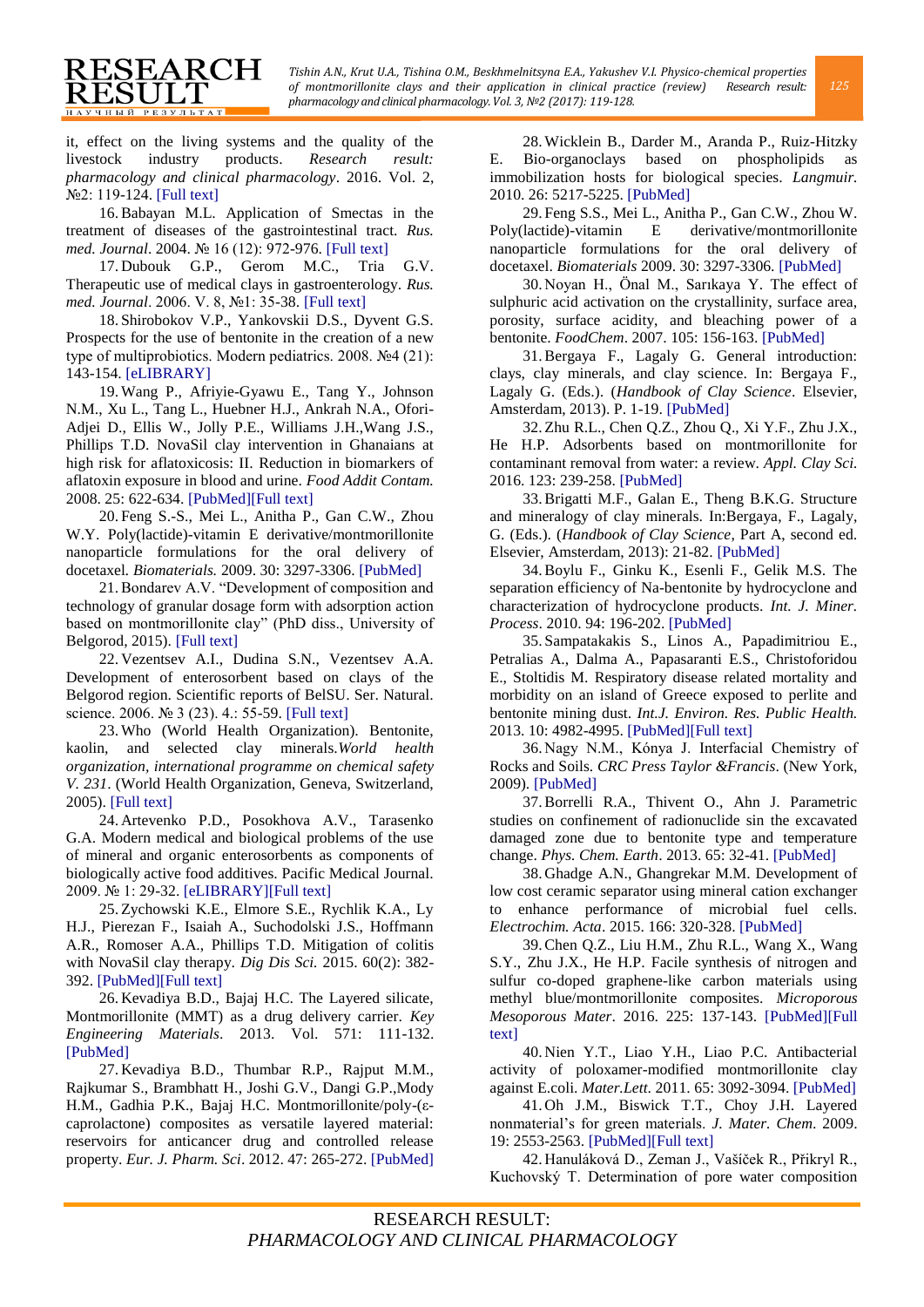it, effect on the living systems and the quality of the livestock industry products. *Research result: pharmacology and clinical pharmacology*. 2016. Vol. 2, №2: 119-124[. \[Full text\]](http://dspace.bsu.edu.ru/bitstream/123456789/17482/1/Yakovleva_A_method_16.pdf)

RESEARCH

**RESULT** 

<span id="page-6-0"></span>16.Babayan M.L. Application of Smectas in the treatment of diseases of the gastrointestinal tract. *Rus. med. Journal*. 2004. № 16 (12): 972-976. [\[Full text\]](http://www.rmj.ru/articles/pediatriya/Primenenie_Smekty_v_lechenii_zabolevaniy_gheludochnokishechnogo_trakta/)

<span id="page-6-1"></span>17. Dubouk G.P., Gerom M.C., Tria G.V. Therapeutic use of medical clays in gastroenterology. *Rus. med. Journal*. 2006. V. 8, №1: 35-38[. \[Full text\]](http://www.rmj.ru/articles/bolezni_organov_pishchevareniya/Terapevticheskoe_primenenie_medicinskih_glin_v_gastroenterologii/)

<span id="page-6-2"></span>18. Shirobokov V.P., Yankovskii D.S., Dyvent G.S. Prospects for the use of bentonite in the creation of a new type of multiprobiotics. Modern pediatrics. 2008. №4 (21): 143-154. [\[eLIBRARY\]](http://elibrary.ru/item.asp?id=23773211)

<span id="page-6-3"></span>19.Wang P., Afriyie-Gyawu E., Tang Y., Johnson N.M., Xu L., Tang L., Huebner H.J., Ankrah N.A., Ofori-Adjei D., Ellis W., Jolly P.E., Williams J.H.,Wang J.S., Phillips T.D. NovaSil clay intervention in Ghanaians at high risk for aflatoxicosis: II. Reduction in biomarkers of aflatoxin exposure in blood and urine. *Food Addit Contam.*  2008. 25: 622-634. [\[PubMed\]\[Full text\]](https://www.ncbi.nlm.nih.gov/pubmed/18478481)

<span id="page-6-4"></span>20. Feng S.-S., Mei L., Anitha P., Gan C.W., Zhou W.Y. Poly(lactide)-vitamin E derivative/montmorillonite nanoparticle formulations for the oral delivery of docetaxel*. Biomaterials.* 2009. 30: 3297-3306. [\[PubMed\]](https://www.ncbi.nlm.nih.gov/pubmed/19299012)

<span id="page-6-5"></span>21.Bondarev A.V. "Development of composition and technology of granular dosage form with adsorption action based on montmorillonite clay" (PhD diss., University of Belgorod, 2015). [\[Full text\]](http://www.pmedpharm.ru/content/files/%D0%94%D0%B8%D1%81%D1%81%D0%B5%D1%80%D1%82%D0%B0%D1%86%D0%B8%D1%8F%20%D0%91%D0%BE%D0%BD%D0%B4%D0%B0%D1%80%D0%B5%D0%B2%20%D0%B8%D1%8E%D0%BB%D1%8C%203(1).pdf)

<span id="page-6-6"></span>22. Vezentsev A.I., Dudina S.N., Vezentsev A.A. Development of enterosorbent based on clays of the Belgorod region. Scientific reports of BelSU. Ser. Natural. science. 2006. № 3 (23). 4.: 55-59. [\[Full text\]](http://dspace.bsu.edu.ru/bitstream/123456789/3796/1/Vezentseva%20A.I._Razrabotka.pdf)

<span id="page-6-7"></span>23.Who (World Health Organization). Bentonite, kaolin, and selected clay minerals.*World health organization, international programme on chemical safety V. 231*. (World Health Organization, Geneva, Switzerland, 2005). [\[Full text\]](http://www.who.int/ipcs/publications/ehc/ehc_231.pdf)

<span id="page-6-8"></span>24. Artevenko P.D., Posokhova A.V., Tarasenko G.A. Modern medical and biological problems of the use of mineral and organic enterosorbents as components of biologically active food additives. Pacific Medical Journal. 2009. № 1: 29-32. [\[eLIBRARY\]\[Full text\]](http://elibrary.ru/item.asp?id=12610329)

<span id="page-6-9"></span>25.Zychowski K.E., Elmore S.E., Rychlik K.A., Ly H.J., Pierezan F., Isaiah A., Suchodolski J.S., Hoffmann A.R., Romoser A.A., Phillips T.D. Mitigation of colitis with NovaSil clay therapy. *Dig Dis Sci.* 2015. 60(2): 382- 392[. \[PubMed\]\[Full text\]](https://www.ncbi.nlm.nih.gov/pubmed/25240298)

<span id="page-6-10"></span>26. Kevadiya B.D., Bajaj H.C. The Layered silicate, Montmorillonite (MMT) as a drug delivery carrier. *Key Engineering Materials*. 2013. Vol. 571: 111-132. [\[PubMed\]](https://www.researchgate.net/publication/269345308_The_Layered_Silicate_Montmorillonite_MMT_as_a_Drug_Delivery_Carrier)

<span id="page-6-11"></span>27. Kevadiya B.D., Thumbar R.P., Rajput M.M., Rajkumar S., Brambhatt H., Joshi G.V., Dangi G.P.,Mody H.M., Gadhia P.K., Bajaj H.C. Montmorillonite/poly-(εcaprolactone) composites as versatile layered material: reservoirs for anticancer drug and controlled release property. *Eur. J. Pharm. Sci*. 2012. 47: 265-272. [\[PubMed\]](https://www.ncbi.nlm.nih.gov/pubmed/22525435)

<span id="page-6-12"></span>28.Wicklein B., Darder M., Aranda P., Ruiz-Hitzky E. Bio-organoclays based on phospholipids as immobilization hosts for biological species. *Langmuir.*  2010. 26: 5217-5225. [\[PubMed\]](http://pubs.acs.org/doi/full/10.1021/la9036925%40proofing)

<span id="page-6-13"></span>29. Feng S.S., Mei L., Anitha P., Gan C.W., Zhou W. Poly(lactide)-vitamin E derivative/montmorillonite nanoparticle formulations for the oral delivery of docetaxel. *Biomaterials* 2009. 30: 3297-3306[. \[PubMed\]](https://www.ncbi.nlm.nih.gov/pubmed/19299012)

<span id="page-6-15"></span>30. Noyan H., Önal M., Sarıkaya Y. The effect of sulphuric acid activation on the crystallinity, surface area, porosity, surface acidity, and bleaching power of a bentonite. *FoodChem*. 2007. 105: 156-163. [\[PubMed\]](https://www.researchgate.net/publication/222202030_The_effect_of_sulphuric_acid_activation_on_the_crystallinity_surface_area_porosity_surface_acidity_and_bleaching_power_of_a_bentonite)

<span id="page-6-14"></span>31.Bergaya F., Lagaly G. General introduction: clays, clay minerals, and clay science. In: Bergaya F., Lagaly G. (Eds.). (*Handbook of Clay Science*. Elsevier, Amsterdam, 2013). P. 1-19[. \[PubMed\]](http://www.sciencedirect.com/science/article/pii/B9780080982588000018)

<span id="page-6-16"></span>32.Zhu R.L., Chen Q.Z., Zhou Q., Xi Y.F., Zhu J.X., He H.P. Adsorbents based on montmorillonite for contaminant removal from water: a review. *Appl. Clay Sci.* 2016. 123: 239-258. [\[PubMed\]](http://www.sciencedirect.com/science/article/pii/S0169131715302155)

<span id="page-6-17"></span>33.Brigatti M.F., Galan E., Theng B.K.G. Structure and mineralogy of clay minerals. In:Bergaya, F., Lagaly, G. (Eds.). (*Handbook of Clay Science*, Part A, second ed. Elsevier, Amsterdam, 2013): 21-82. [\[PubMed\]](http://www.sciencedirect.com/science/article/pii/B978008098258800002X)

<span id="page-6-18"></span>34.Boylu F., Ginku K., Esenli F., Gelik M.S. The separation efficiency of Na-bentonite by hydrocyclone and characterization of hydrocyclone products. *Int. J. Miner. Process*. 2010. 94: 196-202. [\[PubMed\]](http://www.sciencedirect.com/science/article/pii/S0301751610000025)

<span id="page-6-19"></span>35. Sampatakakis S., Linos A., Papadimitriou E., Petralias A., Dalma A., Papasaranti E.S., Christoforidou E., Stoltidis M. Respiratory disease related mortality and morbidity on an island of Greece exposed to perlite and bentonite mining dust. *Int.J. Environ. Res. Public Health.* 2013. 10: 4982-4995. [\[PubMed\]\[Full text\]](https://www.ncbi.nlm.nih.gov/pmc/articles/PMC3823331/)

<span id="page-6-20"></span>36. Nagy N.M., Kónya J. Interfacial Chemistry of Rocks and Soils. *CRC Press Taylor &Francis*. (New York, 2009). [\[PubMed\]](https://dl.sciencesocieties.org/publications/vzj/abstracts/11/2/vzj2011.0191br?access=0&view=pdf)

<span id="page-6-21"></span>37.Borrelli R.A., Thivent O., Ahn J. Parametric studies on confinement of radionuclide sin the excavated damaged zone due to bentonite type and temperature change. *Phys. Chem. Earth*. 2013. 65: 32-41. [\[PubMed\]](http://www.sciencedirect.com/science/article/pii/S1474706513000569)

<span id="page-6-22"></span>38. Ghadge A.N., Ghangrekar M.M. Development of low cost ceramic separator using mineral cation exchanger to enhance performance of microbial fuel cells. *Electrochim. Acta*. 2015. 166: 320-328[. \[PubMed\]](http://www.sciencedirect.com/science/article/pii/S0013468615007021)

<span id="page-6-23"></span>39.Chen Q.Z., Liu H.M., Zhu R.L., Wang X., Wang S.Y., Zhu J.X., He H.P. Facile synthesis of nitrogen and sulfur co-doped graphene-like carbon materials using methyl blue/montmorillonite composites. *Microporous Mesoporous Mater*. 2016. 225: 137-143. [\[PubMed\]\[Full](https://www.researchgate.net/publication/290201703_Facile_Synthesis_of_Nitrogen_and_Sulfur_Co-doped_Graphene-like_Carbon_Materials_using_Methyl_BlueMontmorillonite_Composites)  [text\]](https://www.researchgate.net/publication/290201703_Facile_Synthesis_of_Nitrogen_and_Sulfur_Co-doped_Graphene-like_Carbon_Materials_using_Methyl_BlueMontmorillonite_Composites)

<span id="page-6-24"></span>40. Nien Y.T., Liao Y.H., Liao P.C. Antibacterial activity of poloxamer-modified montmorillonite clay against E.coli. *Mater.Lett*. 2011. 65: 3092-3094. [\[PubMed\]](http://www.sciencedirect.com/science/article/pii/S0167577X11007208)

<span id="page-6-25"></span>41. Oh J.M., Biswick T.T., Choy J.H. Layered nonmaterial's for green materials. *J. Mater. Chem*. 2009. 19: 2553-2563. [\[PubMed\]\[Full text\]](https://www.researchgate.net/publication/228980408_Layered_nanomaterials_for_green_materials)

<span id="page-6-26"></span>42. Hanuláková D., Zeman J., Vašíček R., Přikryl R., Kuchovský T. Determination of pore water composition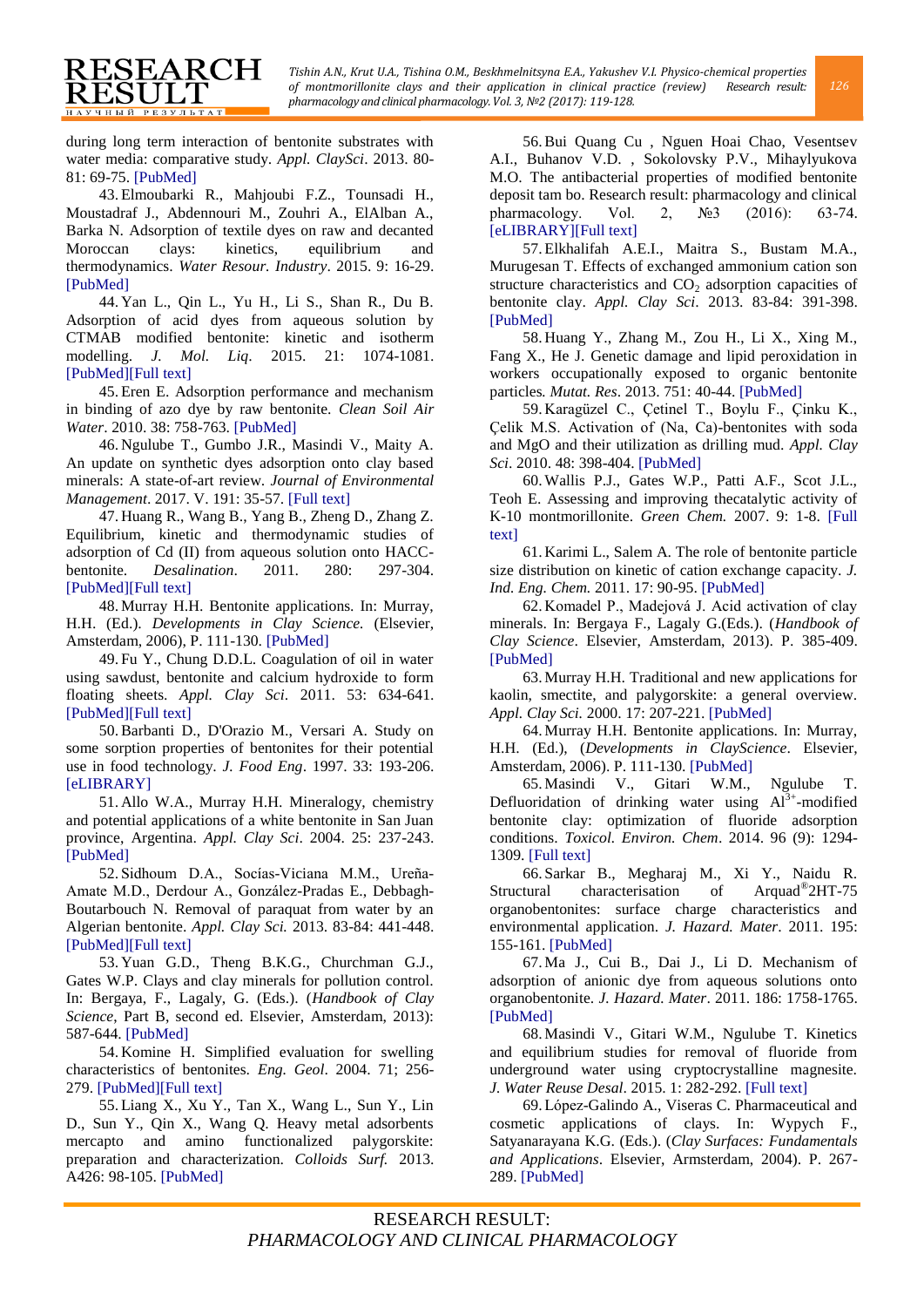during long term interaction of bentonite substrates with water media: comparative study. *Appl. ClaySci*. 2013. 80- 81: 69-75. [\[PubMed\]](http://cat.inist.fr/?aModele=afficheN&cpsidt=27722755)

RESEARCH

**RESULT НАУЧНЫЙ РЕЗУЛЬТА** 

<span id="page-7-0"></span>43.Elmoubarki R., Mahjoubi F.Z., Tounsadi H., Moustadraf J., Abdennouri M., Zouhri A., ElAlban A., Barka N. Adsorption of textile dyes on raw and decanted Moroccan clays: kinetics, equilibrium and thermodynamics. *Water Resour. Industry*. 2015. 9: 16-29. [\[PubMed\]](https://www.scopus.com/record/display.uri?eid=2-s2.0-84922060907&origin=inward&txGid=96907866D5489AC75B9367E1271A9494.wsnAw8kcdt7IPYLO0V48gA%3a8)

<span id="page-7-1"></span>44. Yan L., Qin L., Yu H., Li S., Shan R., Du B. Adsorption of acid dyes from aqueous solution by CTMAB modified bentonite: kinetic and isotherm modelling. *J. Mol. Liq*. 2015. 21: 1074-1081. [\[PubMed\]\[Full text\]](http://www.sciencedirect.com/science/article/pii/S0167732215303251)

<span id="page-7-2"></span>45.Eren E. Adsorption performance and mechanism in binding of azo dye by raw bentonite. *Clean Soil Air Water*. 2010. 38: 758-763[. \[PubMed\]](http://onlinelibrary.wiley.com/doi/10.1002/clen.201000060/full)

<span id="page-7-3"></span>46. Ngulube T., Gumbo J.R., Masindi V., Maity A. An update on synthetic dyes adsorption onto clay based minerals: A state-of-art review. *Journal of Environmental Management*. 2017. V. 191: 35-57[. \[Full text\]](http://www.academia.edu/31268830/An_update_on_synthetic_dyes_adsorption_onto_clay_based_minerals_A_state-of-art_review)

<span id="page-7-4"></span>47. Huang R., Wang B., Yang B., Zheng D., Zhang Z. Equilibrium, kinetic and thermodynamic studies of adsorption of Cd (II) from aqueous solution onto HACCbentonite. *Desalination*. 2011. 280: 297-304. [\[PubMed\]\[Full text\]](http://www.sciencedirect.com/science/article/pii/S0011916411006473)

<span id="page-7-5"></span>48. Murray H.H. Bentonite applications. In: Murray, H.H. (Ed.). *Developments in Clay Science.* (Elsevier, Amsterdam, 2006), P. 111-130[. \[PubMed\]](http://www.sciencedirect.com/science/article/pii/S157243520602006X)

<span id="page-7-6"></span>49. Fu Y., Chung D.D.L. Coagulation of oil in water using sawdust, bentonite and calcium hydroxide to form floating sheets. *Appl. Clay Sci*. 2011. 53: 634-641. [\[PubMed\]\[Full text\]](http://www.sciencedirect.com/science/article/pii/S0169131711001931)

<span id="page-7-7"></span>50.Barbanti D., D'Orazio M., Versari A. Study on some sorption properties of bentonites for their potential use in food technology. *J. Food Eng*. 1997. 33: 193-206. [\[eLIBRARY\]](http://elibrary.ru/item.asp?id=391947)

<span id="page-7-8"></span>51. Allo W.A., Murray H.H. Mineralogy, chemistry and potential applications of a white bentonite in San Juan province, Argentina. *Appl. Clay Sci*. 2004. 25: 237-243. [\[PubMed\]](http://www.sciencedirect.com/science/article/pii/S0169131703002461)

<span id="page-7-9"></span>52. Sidhoum D.A., Socías-Viciana M.M., Ureña-Amate M.D., Derdour A., González-Pradas E., Debbagh-Boutarbouch N. Removal of paraquat from water by an Algerian bentonite. *Appl. Clay Sci.* 2013. 83-84: 441-448. [\[PubMed\]\[Full text\]](https://www.researchgate.net/publication/271601578_Effects_of_bentonite_on_different_cell_types_A_brief_review)

<span id="page-7-10"></span>53. Yuan G.D., Theng B.K.G., Churchman G.J., Gates W.P. Clays and clay minerals for pollution control. In: Bergaya, F., Lagaly, G. (Eds.). (*Handbook of Clay Science*, Part B, second ed. Elsevier, Amsterdam, 2013): 587-644. [\[PubMed\]](http://www.sciencedirect.com/science/article/pii/B9780080982595000214)

<span id="page-7-11"></span>54. Komine H. Simplified evaluation for swelling characteristics of bentonites. *Eng. Geol*. 2004. 71; 256- 279[. \[PubMed\]\[Full text\]](https://waseda.pure.elsevier.com/en/publications/simplified-evaluation-for-swelling-characteristics-of-bentonites)

<span id="page-7-12"></span>55.Liang X., Xu Y., Tan X., Wang L., Sun Y., Lin D., Sun Y., Qin X., Wang Q. Heavy metal adsorbents mercapto and amino functionalized palygorskite: preparation and characterization. *Colloids Surf.* 2013. A426: 98-105[. \[PubMed\]](http://www.sciencedirect.com/science/article/pii/S0927775713002033)

<span id="page-7-13"></span>56.Bui Quang Cu , Nguen Hoai Chao, Vesentsev A.I., Buhanov V.D. , Sokolovsky P.V., Mihaylyukova M.O. The antibacterial properties of modified bentonite deposit tam bo. Research result: pharmacology and clinical pharmacology. Vol. 2, №3 (2016): 63-74. [\[eLIBRARY\]\[Full text\]](http://elibrary.ru/item.asp?id=28427630)

<span id="page-7-14"></span>57.Elkhalifah A.E.I., Maitra S., Bustam M.A., Murugesan T. Effects of exchanged ammonium cation son structure characteristics and  $CO<sub>2</sub>$  adsorption capacities of bentonite clay. *Appl. Clay Sci*. 2013. 83-84: 391-398. [\[PubMed\]](http://www.sciencedirect.com/science/article/pii/S0169131713002214)

<span id="page-7-15"></span>58. Huang Y., Zhang M., Zou H., Li X., Xing M., Fang X., He J. Genetic damage and lipid peroxidation in workers occupationally exposed to organic bentonite particles*. Mutat. Res*. 2013. 751: 40-44[. \[PubMed\]](https://www.ncbi.nlm.nih.gov/pubmed/23131315)

<span id="page-7-16"></span>59. Karagüzel C., Çetinel T., Boylu F., Çinku K., Çelik M.S. Activation of (Na, Ca)-bentonites with soda and MgO and their utilization as drilling mud. *Appl. Clay Sci*. 2010. 48: 398-404[. \[PubMed\]](http://www.sciencedirect.com/science/article/pii/S016913171000027X)

<span id="page-7-17"></span>60.Wallis P.J., Gates W.P., Patti A.F., Scot J.L., Teoh E. Assessing and improving thecatalytic activity of K-10 montmorillonite. *Green Chem.* 2007. 9: 1-8. [\[Full](https://www.academia.edu/18318851/Assessing_and_improving_the_catalytic_activity_of_K-10_montmorillonite)  [text\]](https://www.academia.edu/18318851/Assessing_and_improving_the_catalytic_activity_of_K-10_montmorillonite)

<span id="page-7-18"></span>61. Karimi L., Salem A. The role of bentonite particle size distribution on kinetic of cation exchange capacity. *J. Ind. Eng. Chem.* 2011. 17: 90-95. [\[PubMed\]](http://www.sciencedirect.com/science/article/pii/S1226086X10002789)

<span id="page-7-19"></span>62. Komadel P., Madejová J. Acid activation of clay minerals. In: Bergaya F., Lagaly G.(Eds.). (*Handbook of Clay Science*. Elsevier, Amsterdam, 2013). P. 385-409. [\[PubMed\]](http://www.sciencedirect.com/science/article/pii/B9780080982588000134)

<span id="page-7-20"></span>63.Murray H.H. Traditional and new applications for kaolin, smectite, and palygorskite: a general overview. *Appl. Clay Sci.* 2000. 17: 207-221[. \[PubMed\]](http://www.sciencedirect.com/science/article/pii/S0169131700000168)

<span id="page-7-21"></span>64.Murray H.H. Bentonite applications. In: Murray, H.H. (Ed.), (*Developments in ClayScience*. Elsevier, Amsterdam, 2006). P. 111-130[. \[PubMed\]](http://www.sciencedirect.com/science/article/pii/S157243520602006X)

<span id="page-7-22"></span>65.Masindi V., Gitari W.M., Ngulube T. Defluoridation of drinking water using  $Al^{3+}$ -modified bentonite clay: optimization of fluoride adsorption conditions. *Toxicol. Environ. Chem*. 2014. 96 (9): 1294- 1309[. \[Full text\]](http://www.tandfonline.com/doi/pdf/10.1080/02772248.2014.977289)

<span id="page-7-23"></span>66. Sarkar B., Megharaj M., Xi Y., Naidu R. Structural characterisation of Arquad<sup>®</sup>2HT-75 organobentonites: surface charge characteristics and environmental application. *J. Hazard. Mater*. 2011. 195: 155-161. [\[PubMed\]](https://www.ncbi.nlm.nih.gov/pubmed/21885189)

<span id="page-7-24"></span>67.Ma J., Cui B., Dai J., Li D. Mechanism of adsorption of anionic dye from aqueous solutions onto organobentonite. *J. Hazard. Mater*. 2011. 186: 1758-1765. [\[PubMed\]](https://www.ncbi.nlm.nih.gov/pubmed/21227582)

<span id="page-7-25"></span>68.Masindi V., Gitari W.M., Ngulube T. Kinetics and equilibrium studies for removal of fluoride from underground water using cryptocrystalline magnesite. *J. Water Reuse Desal*. 2015. 1: 282-292. [\[Full text\]](https://www.academia.edu/24762389/Kinetics_and_equilibrium_studies_for_removal_of_fluoride_from_underground_water_using_cryptocrystalline_magnesite)

<span id="page-7-26"></span>69.López-Galindo A., Viseras C. Pharmaceutical and cosmetic applications of clays. In: Wypych F., Satyanarayana K.G. (Eds.). (*Clay Surfaces: Fundamentals and Applications*. Elsevier, Armsterdam, 2004). P. 267- 289[. \[PubMed\]](http://claymin.geoscienceworld.org/content/41/2/691.full)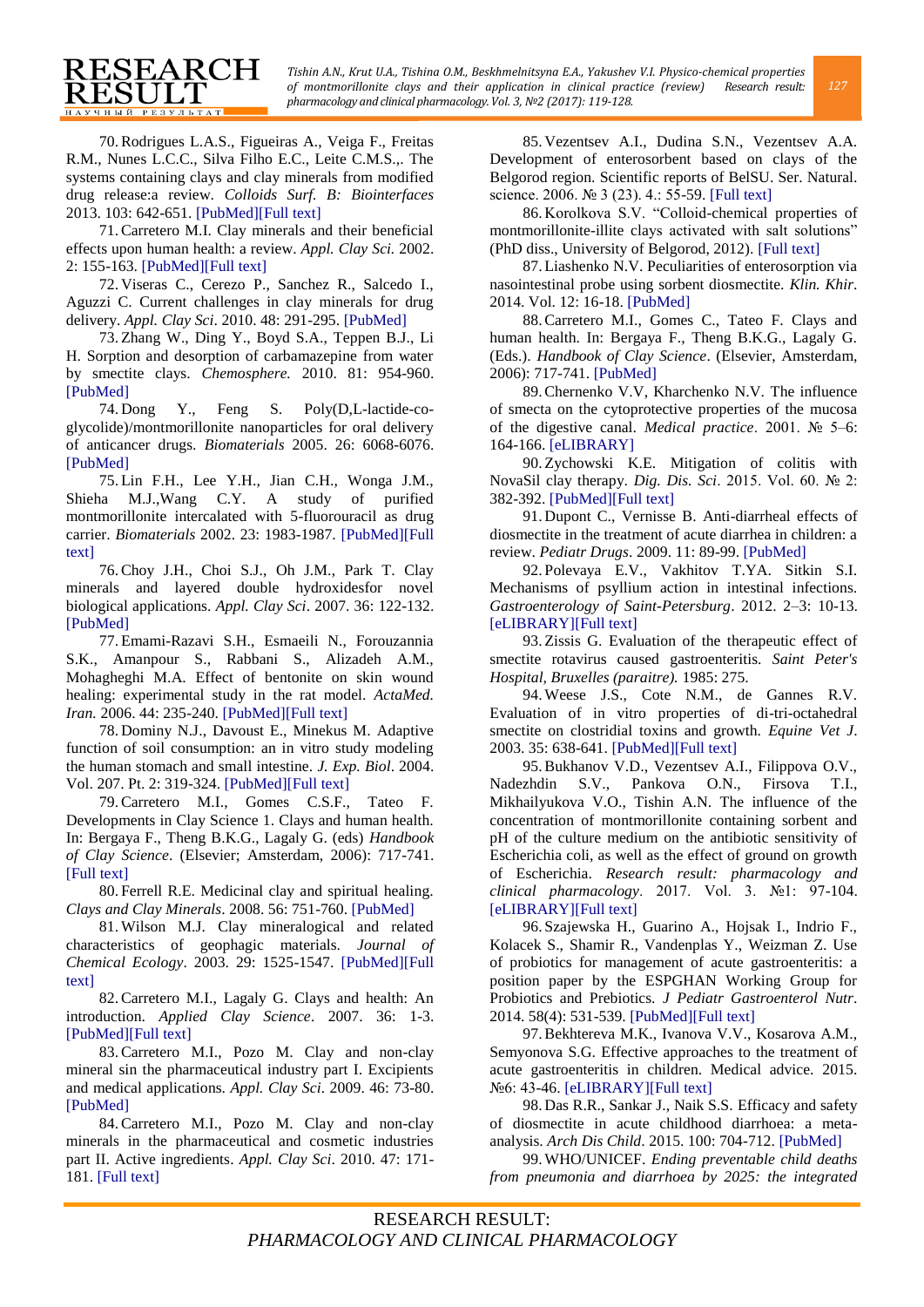<span id="page-8-0"></span>70.Rodrigues L.A.S., Figueiras A., Veiga F., Freitas R.M., Nunes L.C.C., Silva Filho E.C., Leite C.M.S.,. The systems containing clays and clay minerals from modified drug release:a review. *Colloids Surf. B: Biointerfaces* 2013. 103: 642-651. [\[PubMed\]\[Full text\]](https://www.ncbi.nlm.nih.gov/pubmed/23253474)

RESEARCH

RESULT **НАУЧНЫЙ РЕЗУЛЬТАТ** 

<span id="page-8-1"></span>71.Carretero M.I. Clay minerals and their beneficial effects upon human health: a review. *Appl. Clay Sci.* 2002. 2: 155-163. [\[PubMed\]\[Full text\]](http://www.sciencedirect.com/science/article/pii/S0169131701000850)

<span id="page-8-2"></span>72. Viseras C., Cerezo P., Sanchez R., Salcedo I., Aguzzi C. Current challenges in clay minerals for drug delivery. *Appl. Clay Sci*. 2010. 48: 291-295[. \[PubMed\]](http://www.sciencedirect.com/science/article/pii/S0169131710000219)

<span id="page-8-3"></span>73.Zhang W., Ding Y., Boyd S.A., Teppen B.J., Li H. Sorption and desorption of carbamazepine from water by smectite clays. *Chemosphere.* 2010. 81: 954-960. [\[PubMed\]](https://www.ncbi.nlm.nih.gov/pubmed/20797761)

<span id="page-8-4"></span>74. Dong Y., Feng S. Poly(D,L-lactide-coglycolide)/montmorillonite nanoparticles for oral delivery of anticancer drugs. *Biomaterials* 2005. 26: 6068-6076. [\[PubMed\]](https://www.ncbi.nlm.nih.gov/pubmed/15894372)

<span id="page-8-5"></span>75.Lin F.H., Lee Y.H., Jian C.H., Wonga J.M., Shieha M.J.,Wang C.Y. A study of purified montmorillonite intercalated with 5-fluorouracil as drug carrier. *Biomaterials* 2002. 23: 1983-1987. [\[PubMed\]\[Full](https://www.ncbi.nlm.nih.gov/pubmed/11996039)  [text\]](https://www.academia.edu/16972002/A_study_of_purified_montmorillonite_intercalated_with_5-fluorouracil_as_drug_carrier)

<span id="page-8-6"></span>76.Choy J.H., Choi S.J., Oh J.M., Park T. Clay minerals and layered double hydroxidesfor novel biological applications. *Appl. Clay Sci*. 2007. 36: 122-132. [\[PubMed\]](http://www.sciencedirect.com/science/article/pii/S0169131706001517)

<span id="page-8-7"></span>77.Emami-Razavi S.H., Esmaeili N., Forouzannia S.K., Amanpour S., Rabbani S., Alizadeh A.M., Mohagheghi M.A. Effect of bentonite on skin wound healing: experimental study in the rat model. *ActaMed. Iran.* 2006. 44: 235-240. [\[PubMed\]\[Full text\]](https://www.researchgate.net/publication/237403615_Effect_of_Bentonite_on_skin_wound_healing_Experimental_study_in_the_rat_model)

<span id="page-8-8"></span>78. Dominy N.J., Davoust E., Minekus M. Adaptive function of soil consumption: an in vitro study modeling the human stomach and small intestine. *J. Exp. Biol*. 2004. Vol. 207. Pt. 2: 319-324[. \[PubMed\]\[Full text\]](https://www.ncbi.nlm.nih.gov/pubmed/14668315)

<span id="page-8-9"></span>79.Carretero M.I., Gomes C.S.F., Tateo F. Developments in Clay Science 1. Clays and human health. In: Bergaya F., Theng B.K.G., Lagaly G. (eds) *Handbook of Clay Science*. (Elsevier; Amsterdam, 2006): 717-741. [\[Full text\]](http://projects.itn.pt/Nanosar_30_Pub_PTDC_GEO_FIQ_1822_2014/ICGT06.pdf)

<span id="page-8-10"></span>80. Ferrell R.E. Medicinal clay and spiritual healing. *Clays and Clay Minerals*. 2008. 56: 751-760[. \[PubMed\]](https://www.researchgate.net/publication/249899947_Medicinal_clay_and_spiritual_healing)

<span id="page-8-11"></span>81.Wilson M.J. Clay mineralogical and related characteristics of geophagic materials. *Journal of Chemical Ecology*. 2003. 29: 1525-1547. [\[PubMed\]\[Full](https://link.springer.com/article/10.1023/A:1024262411676)  [text\]](http://download.springer.com/static/pdf/877/art%253A10.1023%252FA%253A1024262411676.pdf?originUrl=http%3A%2F%2Flink.springer.com%2Farticle%2F10.1023%2FA%3A1024262411676&token2=exp=1494750924~acl=%2Fstatic%2Fpdf%2F877%2Fart%25253A10.1023%25252FA%25253A10242)

<span id="page-8-12"></span>82.Carretero M.I., Lagaly G. Clays and health: An introduction. *Applied Clay Science*. 2007. 36: 1-3. [\[PubMed\]\[Full text\]](http://www.sciencedirect.com/science/article/pii/S0169131706001414)

<span id="page-8-13"></span>83.Carretero M.I., Pozo M. Clay and non-clay mineral sin the pharmaceutical industry part I. Excipients and medical applications. *Appl. Clay Sci*. 2009. 46: 73-80. [\[PubMed\]](http://www.sciencedirect.com/science/article/pii/S016913170900177X)

<span id="page-8-14"></span>84.Carretero M.I., Pozo M. Clay and non-clay minerals in the pharmaceutical and cosmetic industries part II. Active ingredients. *Appl. Clay Sci*. 2010. 47: 171- 181[. \[Full text\]](https://faculty.unlv.edu/buckb/Dana/Carretero%20and%20Pozo%202010.pdf)

<span id="page-8-15"></span>85. Vezentsev A.I., Dudina S.N., Vezentsev A.A. Development of enterosorbent based on clays of the Belgorod region. Scientific reports of BelSU. Ser. Natural. science. 2006. № 3 (23). 4.: 55-59. [\[Full text\]](http://dspace.bsu.edu.ru/bitstream/123456789/3796/1/Vezentseva%20A.I._Razrabotka.pdf)

<span id="page-8-16"></span>86. Korolkova S.V. "Colloid-chemical properties of montmorillonite-illite clays activated with salt solutions" (PhD diss., University of Belgorod, 2012). [\[Full text\]](https://www.google.ru/url?sa=t&rct=j&q=&esrc=s&source=web&cd=2&ved=0ahUKEwiojMbvje_TAhVlM5oKHWXxAAcQFggqMAE&url=http%3A%2F%2Fwww.bstu.ru%2Fshared%2Fattachments%2F34798&usg=AFQjCNFyt7RsMjwjCLxnIQ_q87NDmKY_mQ&sig2=dedUkn7sU83PnBXlsv1XVw)

<span id="page-8-17"></span>87.Liashenko N.V. Peculiarities of enterosorption via nasointestinal probe using sorbent diosmectite. *Klin. Khir*. 2014. Vol. 12: 16-18. [\[PubMed\]](https://www.ncbi.nlm.nih.gov/pubmed/25842877)

<span id="page-8-18"></span>88.Carretero M.I., Gomes C., Tateo F. Clays and human health. In: Bergaya F., Theng B.K.G., Lagaly G. (Eds.). *Handbook of Clay Science*. (Elsevier, Amsterdam, 2006): 717-741[. \[PubMed\]](http://www.sciencedirect.com/science/article/pii/S157243520501024X)

<span id="page-8-19"></span>89.Chernenko V.V, Kharchenko N.V. The influence of smecta on the cytoprotective properties of the mucosa of the digestive canal. *Medical practice*. 2001. № 5–6: 164-166. [\[eLIBRARY\]](http://www.fesmu.ru/elib/Article.aspx?id=68643)

<span id="page-8-20"></span>90.Zychowski K.E. Mitigation of colitis with NovaSil clay therapy. *Dig. Dis. Sci*. 2015. Vol. 60. № 2: 382-392. [\[PubMed\]\[Full text\]](https://www.ncbi.nlm.nih.gov/pubmed/25240298)

<span id="page-8-21"></span>91. Dupont C., Vernisse B. Anti-diarrheal effects of diosmectite in the treatment of acute diarrhea in children: a review. *Pediatr Drugs*. 2009. 11: 89-99. [\[PubMed\]](https://www.ncbi.nlm.nih.gov/pubmed/19301931)

<span id="page-8-22"></span>92. Polevaya E.V., Vakhitov T.YA. Sitkin S.I. Mechanisms of psyllium action in intestinal infections. *Gastroenterology of Saint-Petersburg*. 2012. 2–3: 10-13. [\[eLIBRARY\]\[Full text\]](http://elibrary.ru/item.asp?id=22825029)

<span id="page-8-23"></span>93.Zissis G. Evaluation of the therapeutic effect of smectite rotavirus caused gastroenteritis. *Saint Peter's Hospital, Bruxelles (paraitre).* 1985: 275.

<span id="page-8-24"></span>94.Weese J.S., Cote N.M., de Gannes R.V. Evaluation of in vitro properties of di-tri-octahedral smectite on clostridial toxins and growth. *Equine Vet J*. 2003. 35: 638-641. [\[PubMed\]\[Full text\]](https://www.ncbi.nlm.nih.gov/pubmed/14649353)

<span id="page-8-25"></span>95.Bukhanov V.D., Vezentsev A.I., Filippova O.V., Nadezhdin S.V., Pankova O.N., Firsova T.I., Mikhailyukova V.O., Tishin A.N. The influence of the concentration of montmorillonite containing sorbent and pH of the culture medium on the antibiotic sensitivity of Escherichia coli, as well as the effect of ground on growth of Escherichia. *Research result: pharmacology and clinical pharmacology*. 2017. Vol. 3. №1: 97-104. [\[eLIBRARY\]\[Full text\]](http://elibrary.ru/item.asp?id=29039292)

<span id="page-8-26"></span>96. Szajewska H., Guarino A., Hojsak I., Indrio F., Kolacek S., Shamir R., Vandenplas Y., Weizman Z. Use of probiotics for management of acute gastroenteritis: a position paper by the ESPGHAN Working Group for Probiotics and Prebiotics. *J Pediatr Gastroenterol Nutr*. 2014. 58(4): 531-539. [\[PubMed\]\[Full text\]](https://www.ncbi.nlm.nih.gov/pubmed/24614141)

<span id="page-8-27"></span>97.Bekhtereva M.K., Ivanova V.V., Kosarova A.M., Semyonova S.G. Effective approaches to the treatment of acute gastroenteritis in children. Medical advice. 2015. №6: 43-46. [\[eLIBRARY\]\[Full text\]](http://elibrary.ru/item.asp?id=23798092)

<span id="page-8-28"></span>98. Das R.R., Sankar J., Naik S.S. Efficacy and safety of diosmectite in acute childhood diarrhoea: a metaanalysis. *Arch Dis Child*. 2015. 100: 704-712. [\[PubMed\]](https://www.researchgate.net/publication/273699407_Efficacy_and_safety_of_diosmectite_in_acute_childhood_diarrhoea_A_meta-analysis)

<span id="page-8-29"></span>99.WHO/UNICEF. *Ending preventable child deaths from pneumonia and diarrhoea by 2025: the integrated*